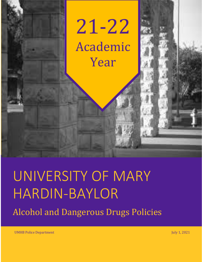

# UNIVERSITY OF MARY HARDIN-BAYLOR

Alcohol and Dangerous Drugs Policies

UMHB Police Department July 1, 2021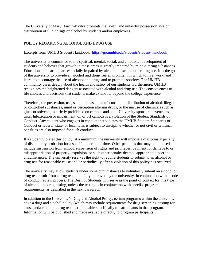The University of Mary Hardin-Baylor prohibits the lawful and unlawful possession, use or distribution of illicit drugs or alcohol by students and/or employees.

#### POLICY REGARDING ALCOHOL AND DRUG USE

#### Excerpts from UMHB Student Handbook [\(https://go.umhb.edu/students/student-handbook\)](https://go.umhb.edu/students/student-handbook).

The university is committed to the spiritual, mental, social, and emotional development of students and believes that growth in these areas is greatly impaired by mind-altering substances. Education and learning are especially impaired by alcohol abuse and other drug use. It is the goal of the university to provide an alcohol and drug-free environment in which to live, work, and learn, to discourage the use of alcohol and drugs and to promote sobriety. The UMHB community cares deeply about the health and safety of our students. Furthermore, UMHB recognizes the heightened dangers associated with alcohol and drug use. The consequences of life choices and decisions that students make extend far beyond the college experience.

Therefore, the possession, use, sale, purchase, manufacturing, or distribution of alcohol, illegal or controlled substances, mind or perception altering drugs, or the misuse of chemicals such as glues or solvents, is strictly prohibited on campus and at all University sponsored events and trips. Intoxication or impairment, on or off campus is a violation of the Student Standards of Conduct. Any student who engages in conduct that violates the UMHB Student Standards of Conduct or federal, state, or local laws is subject to discipline whether or not civil or criminal penalties are also imposed for such conduct.

If a student violates this policy, at a minimum, the university will impose a disciplinary penalty of disciplinary probation for a specified period of time. Other penalties that may be imposed include suspension from school, suspension of rights and privileges, payment for damage to or misappropriation of property, expulsion, or such other penalty deemed appropriate under the circumstances. The university reserves the right to require students to submit to an alcohol or drug test for reasonable cause and/or periodically after a violation of this policy has occurred.

The university may allow students under some circumstances to voluntarily submit an alcohol or drug test result from a drug testing facility approved by the university, in conjunction with a code of conduct review process. The Dean of Students will serve as the point of contact for this type of alcohol and drug testing, unless the testing is in conjunction with specific program requirements, as described in the next paragraph.

In addition to the University's Drug and Alcohol Policy, certain programs within the university have a drug and alcohol policy (which may include requirements for drug screening, testing for cause and/or random drug testing) applicable specifically to participants in that program. Information will be published and made available directly to program participants.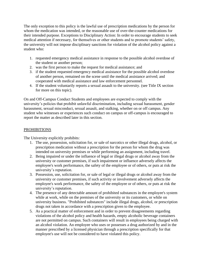The only exception to this policy is the lawful use of prescription medications by the person for whom the medication was intended, or the reasonable use of over-the-counter medications for their intended purpose. Exceptions to Disciplinary Action: In order to encourage students to seek medical attention if necessary, for themselves or other students and to promote students' safety, the university will not impose disciplinary sanctions for violation of the alcohol policy against a student who:

- 1. requested emergency medical assistance in response to the possible alcohol overdose of the student or another person;
- 2. was the first person to make the request for medical assistance; and
- 3. if the student requested emergency medical assistance for the possible alcohol overdose of another person, remained on the scene until the medical assistance arrived; and cooperated with medical assistance and law enforcement personnel.
- 4. If the student voluntarily reports a sexual assault to the university. (see Title IX section for more on this topic).

On and Off-Campus Conduct Students and employees are expected to comply with the university's policies that prohibit unlawful discrimination, including sexual harassment, gender harassment, sexual misconduct, sexual assault, and stalking, whether on or off campus. Any student who witnesses or experiences such conduct on campus or off-campus is encouraged to report the matter as described later in this section.

#### **PROHIBITIONS**

The University explicitly prohibits:

- 1. The use, possession, solicitation for, or sale of narcotics or other illegal drugs, alcohol, or prescription medication without a prescription for the person for whom the drug was intended on university premises or while performing an assignment, including travel.
- 2. Being impaired or under the influence of legal or illegal drugs or alcohol away from the university or customer premises, if such impairment or influence adversely affects the employee's work performance, the safety of the employee or of others, or puts at risk the university's reputation.
- 3. Possession, use, solicitation for, or sale of legal or illegal drugs or alcohol away from the university or customer premises, if such activity or involvement adversely affects the employee's work performance, the safety of the employee or of others, or puts at risk the university's reputation.
- 4. The presence of any detectable amount of prohibited substances in the employee's system while at work, while on the premises of the university or its customers, or while on university business. "Prohibited substances" include illegal drugs, alcohol, or prescription drugs not taken in accordance with a prescription given to the employee.
- 5. As a practical matter of enforcement and in order to prevent disagreements regarding violations of the alcohol policy and health hazards, empty alcoholic beverage containers are not permitted on campus. Such containers will result in employees being charged with an alcohol violation. An employee who uses or possesses a drug authorized by and in the manner prescribed by a licensed physician through a prescription specifically for that employee's use will not be considered to have violated this policy.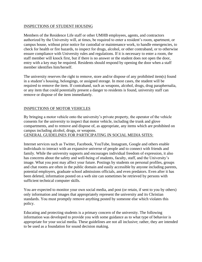#### INSPECTIONS OF STUDENT HOUSING

Members of the Residence Life staff or other UMHB employees, agents, and contractors authorized by the University will, at times, be required to enter a resident's room, apartment, or campus house, without prior notice for custodial or maintenance work, to handle emergencies, to check for health or fire hazards, to inspect for drugs, alcohol, or other contraband, or to otherwise ensure compliance with University rules and regulations. If it is necessary to enter a room, the staff member will knock first, but if there is no answer or the student does not open the door, entry with a key may be required. Residents should respond by opening the door when a staff member identifies him/herself.

The university reserves the right to remove, store and/or dispose of any prohibited item(s) found in a student's housing, belongings, or assigned storage. In most cases, the student will be required to remove the item. If contraband, such as weapons, alcohol, drugs, drug paraphernalia, or any item that could potentially present a danger to residents is found, university staff can remove or dispose of the item immediately.

#### INSPECTIONS OF MOTOR VEHICLES

By bringing a motor vehicle onto the university's private property, the operator of the vehicle consents for the university to inspect that motor vehicle, including the trunk and glove compartments, and to remove and dispose of, as appropriate, any items which are prohibited on campus including alcohol, drugs, or weapons.

GENERAL GUIDELINES FOR PARTICIPATING IN SOCIAL MEDIA SITES:

Internet services such as Twitter, Facebook, YouTube, Instagram, Google and others enable individuals to interact with an expansive universe of people and to connect with friends and family. While the university supports and encourages individual freedom of expression, it also has concerns about the safety and well-being of students, faculty, staff, and the University's image. What you post may affect your future. Postings by students on personal profiles, groups and chat rooms are often in the public domain and easily accessible by anyone including parents, potential employers, graduate school admissions officials, and even predators. Even after it has been deleted, information posted on a web site can sometimes be retrieved by persons with sufficient technical computer skills.

You are expected to monitor your own social media, and post (or retain, if sent to you by others) only information and images that appropriately represent the university and its Christian standards. You must promptly remove anything posted by someone else which violates this policy.

Educating and protecting students is a primary concern of the university. The following information was developed to provide you with some guidance as to what type of behavior is appropriate for your social media. These guidelines are not all inclusive; rather, they are intended to be used as a foundation for sound decision making.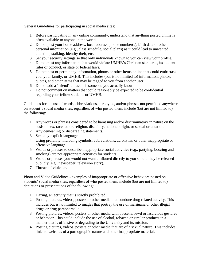General Guidelines for participating in social media sites:

- 1. Before participating in any online community, understand that anything posted online is often available to anyone in the world.
- 2. Do not post your home address, local address, phone number(s), birth date or other personal information (e.g., class schedule, social plans) as it could lead to unwanted attention, stalking, identity theft, etc.
- 3. Set your security settings so that only individuals known to you can view your profile.
- 4. Do not post any information that would violate UMHB's Christian standards, its student rules of conduct, or state or federal laws.
- 5. Do not post or permit any information, photos or other items online that could embarrass you, your family, or UMHB. This includes (but is not limited to) information, photos, quotes, and other items that may be tagged to you from another user.
- 6. Do not add a "friend" unless it is someone you actually know.
- 7. Do not comment on matters that could reasonably be expected to be confidential regarding your fellow students or UMHB.

Guidelines for the use of words, abbreviations, acronyms, and/or phrases not permitted anywhere on student's social media sites, regardless of who posted them, include (but are not limited to) the following:

- 1. Any words or phrases considered to be harassing and/or discriminatory in nature on the basis of sex, race, color, religion, disability, national origin, or sexual orientation.
- 2. Any demeaning or disparaging statements.
- 3. Sexually explicit language.
- 4. Using profanity, including symbols, abbreviations, acronyms, or other inappropriate or offensive language.
- 5. Words or phrases to describe inappropriate social activities (e.g., partying, boozing and smoking) are not appropriate activities for students.
- 6. Words or phrases you would not want attributed directly to you should they be released publicly (e.g., newspaper, television story).
- 7. Threats of violence.

Photo and Video Guidelines - examples of inappropriate or offensive behaviors posted on students' social media sites, regardless of who posted them, include (but are not limited to) depictions or presentations of the following:

- 1. Hazing, an activity that is strictly prohibited.
- 2. Posting pictures, videos, posters or other media that condone drug related activity. This includes but is not limited to images that portray the use of marijuana or other illegal drugs or drug paraphernalia.
- 3. Posting pictures, videos, posters or other media with obscene, lewd or lascivious gestures or behavior. This could include the use of alcohol, tobacco or similar products in a manner that is offensive or degrading to the University and its mission.
- 4. Posting pictures, videos, posters or other media that are of a sexual nature. This includes links to websites of a pornographic nature and other inappropriate material.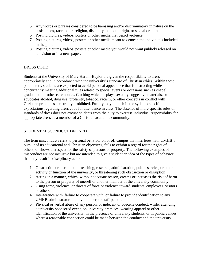- 5. Any words or phrases considered to be harassing and/or discriminatory in nature on the basis of sex, race, color, religion, disability, national origin, or sexual orientation.
- 6. Posting pictures, videos, posters or other media that depict violence
- 7. Posting pictures, videos, posters or other media meant to demean the individuals included in the photo.
- 8. Posting pictures, videos, posters or other media you would not want publicly released on television or in a newspaper.

#### DRESS CODE

Students at the University of Mary Hardin-Baylor are given the responsibility to dress appropriately and in accordance with the university's standard of Christian ethics. Within these parameters, students are expected to avoid personal appearance that is distracting while concurrently meeting additional rules related to special events or occasions such as chapel, graduation, or other ceremonies. Clothing which displays sexually suggestive materials, or advocates alcohol, drug use, profanity, tobacco, racism, or other concepts in conflict with Christian principles are strictly prohibited. Faculty may publish in the syllabus specific expectations regarding dress code for attendance in class. The absence of more specific rules on standards of dress does not excuse students from the duty to exercise individual responsibility for appropriate dress as a member of a Christian academic community.

#### STUDENT MISCONDUCT DEFINED

The term misconduct refers to personal behavior on or off campus that interferes with UMHB's pursuit of its educational and Christian objectives, fails to exhibit a regard for the rights of others, or shows disrespect for the safety of persons or property. The following examples of misconduct are not inclusive but are intended to give a student an idea of the types of behavior that may result in disciplinary action.

- 1. Obstruction or disruption of teaching, research, administration, public service, or other activity or function of the university, or threatening such obstruction or disruption.
- 2. Acting in a manner, which, without adequate reason, creates or increases the risk of harm to the person or property of oneself or another member of the university community.
- 3. Using force, violence, or threats of force or violence toward students, employees, visitors or others.
- 4. Interference with, failure to cooperate with, or failure to provide identification to any UMHB administrator, faculty member, or staff person.
- 5. Physical or verbal abuse of any person, or indecent or obscene conduct, while: attending a university sponsored event, on university premises, wearing apparel or other identification of the university, in the presence of university students, or in public venues where a reasonable connection could be made between the conduct and the university.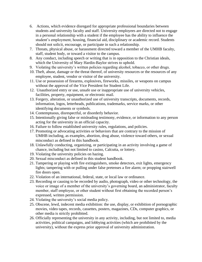- 6. Actions, which evidence disregard for appropriate professional boundaries between students and university faculty and staff. University employees are directed not to engage in a personal relationship with a student if the employee has the ability to influence the student's employment, housing, financial aid, disciplinary or academic record. Students should not solicit, encourage, or participate in such a relationship.
- 7. Threats, physical abuse, or harassment directed toward a member of the UMHB faculty, staff, student body, or toward a visitor to the campus.
- 8. Any conduct, including speech or writing that is in opposition to the Christian ideals, which the University of Mary Hardin-Baylor strives to uphold.
- 9. Violating the university's written policies regarding alcohol, tobacco, or other drugs.
- 10. Theft, abuse, damage or the threat thereof, of university resources or the resources of any employee, student, vendor or visitor of the university.
- 11. Use or possession of firearms, explosives, fireworks, missiles, or weapons on campus without the approval of the Vice President for Student Life.
- 12. Unauthorized entry or use, unsafe use or inappropriate use of university vehicles, facilities, property, equipment, or electronic mail.
- 13. Forgery, alteration, or unauthorized use of university transcripts, documents, records, information, logos, letterheads, publications, trademarks, service marks, or other identifying documents or symbols.
- 14. Contemptuous, disrespectful, or disorderly behavior.
- 15. Intentionally giving false or misleading testimony, evidence, or information to any person acting for the university in an official capacity.
- 16. Failure to follow established university rules, regulations, and policies.
- 17. Promoting or advocating activities or behaviors that are contrary to the mission of UMHB including, as examples, abortion, drug abuse, violence toward others, or sexual misconduct as defined in this handbook.
- 18. Unlawfully conducting, organizing, or participating in an activity involving a game of chance, including but not limited to casino, Calcutta, or lottery.
- 19. Violating the university policies on hazing.
- 20. Sexual misconduct as defined in this student handbook.
- 21. Tampering or playing with fire extinguishers, smoke detectors, exit lights, emergency lights; tampering with or pulling under false pretenses a fire alarm; or propping stairwell fire doors open.
- 22. Violation of an international, federal, state, or local law or ordinance.
- 23. Recording or causing to be recorded by audio, photograph, video or other technology, the voice or image of a member of the university's governing board, an administrator, faculty member, staff employee, or other student without first obtaining the recorded person's expressed, written permission.
- 24. Violating the university's social media policy.
- 25. Obscene, lewd, indecent media exhibition: the use, display, or exhibition of pornographic movies, video tapes, records, cassettes, posters, magazines, CDs, computer graphics, or other media is strictly prohibited.
- 26. Officially representing the university in any activity, including, but not limited to, media activities, political campaigns, and lobbying activities (which are prohibited by the university), without the express prior approval of university administration.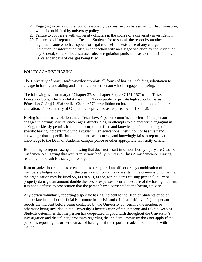- 27. Engaging in behavior that could reasonably be construed as harassment or discrimination, which is prohibited by university policy.
- 28. Failure to cooperate with university officials in the course of a university investigation.
- 29. Failure to self-report to the Dean of Students (or to submit the report by another legitimate source such as spouse or legal counsel) the existence of any charge or indictment or information filed in connection with an alleged violation by the student of any Federal, state, or local statute, rule, or regulation punishable as a crime within three (3) calendar days of charges being filed.

#### POLICY AGAINST HAZING

The University of Mary Hardin-Baylor prohibits all forms of hazing, including solicitation to engage in hazing and aiding and abetting another person who is engaged in hazing.

The following is a summary of Chapter 37, subchapter F. (§§ 37.151-157) of the Texas Education Code, which prohibits hazing in Texas public or private high schools. Texas Education Code §51.936 applies Chapter 37's prohibition on hazing to institutions of higher education. This summary of Chapter 37 is provided as required by § 51.936(d).

Hazing is a criminal violation under Texas law. A person commits an offense if the person engages in hazing; solicits, encourages, directs, aids, or attempts to aid another in engaging in hazing, recklessly permits hazing to occur; or has firsthand knowledge of the planning of a specific hazing incident involving a student in an educational institution, or has firsthand knowledge that a specific hazing incident has occurred, and knowingly fails to report that knowledge to the Dean of Students, campus police or other appropriate university official.

Both failing to report hazing and hazing that does not result in serious bodily injury are Class B misdemeanors. Hazing that results in serious bodily injury is a Class A misdemeanor. Hazing resulting in a death is a state jail felony.

If an organization condones or encourages hazing or if an officer or any combination of members, pledges, or alumni of the organization commits or assists in the commission of hazing, the organization may be fined \$5,000 to \$10,000 or, for incidents causing personal injury or property damage, an amount double the loss or expenses incurred because of the hazing incident. It is not a defense to prosecution that the person hazed consented to the hazing activity.

Any person voluntarily reporting a specific hazing incident to the Dean of Students or other appropriate institutional official is immune from civil and criminal liability if (1) the person reports the incident before being contacted by the University concerning the incident or otherwise being included in the University's investigation of the incident; and (2) the Dean of Students determines that the person has cooperated in good faith throughout the University's investigation and disciplinary processes regarding the incident. Immunity does not apply if the person is reporting his or her own act of hazing or if the report is made in bad faith or with malice.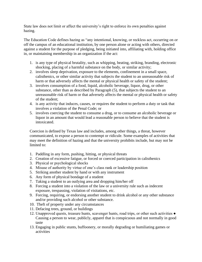State law does not limit or affect the university's right to enforce its own penalties against hazing.

The Education Code defines hazing as "any intentional, knowing, or reckless act, occurring on or off the campus of an educational institution, by one person alone or acting with others, directed against a student for the purpose of pledging, being initiated into, affiliating with, holding office in, or maintaining membership in an organization if the act:

- 1. is any type of physical brutality, such as whipping, beating, striking, branding, electronic shocking, placing of a harmful substance on the body, or similar activity;
- 2. involves sleep deprivation, exposure to the elements, confinement in a small space, calisthenics, or other similar activity that subjects the student to an unreasonable risk of harm or that adversely affects the mental or physical health or safety of the student;
- 3. involves consumption of a food, liquid, alcoholic beverage, liquor, drug, or other substance, other than as described by Paragraph (5), that subjects the student to an unreasonable risk of harm or that adversely affects the mental or physical health or safety of the student;
- 4. is any activity that induces, causes, or requires the student to perform a duty or task that involves a violation of the Penal Code; or
- 5. involves coercing the student to consume a drug, or to consume an alcoholic beverage or liquor in an amount that would lead a reasonable person to believe that the student is intoxicated.

Coercion is defined by Texas law and includes, among other things, a threat, however communicated, to expose a person to contempt or ridicule. Some examples of activities that may meet the definition of hazing and that the university prohibits include, but may not be limited to:

- 1. Paddling in any form, pushing, hitting, or physical threats
- 2. Creation of excessive fatigue, or forced or coerced participation in calisthenics
- 3. Physical or psychological shocks
- 4. Misuse of authority by virtue of one's class rank or leadership position
- 5. Striking another student by hand or with any instrument
- 6. Any form of physical bondage of a student
- 7. Taking a student to an outlying area and dropping him/her off
- 8. Forcing a student into a violation of the law or a university rule such as indecent exposure, trespassing, violation of visitations, etc.
- 9. Forcing, requiring, or endorsing another student to drink alcohol or any other substance and/or providing such alcohol or other substance.
- 10. Theft of property under any circumstances
- 11. Defacing trees, ground, or buildings
- 12. Unapproved quests, treasure hunts, scavenger hunts, road trips, or other such activities Causing a person to wear, publicly, apparel that is conspicuous and not normally in good taste
- 13. Engaging in public stunts, buffoonery, or morally degrading or humiliating games or activities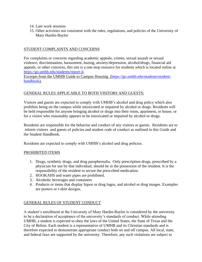- 14. Late work sessions
- 15. Other activities not consistent with the rules, regulations, and policies of the University of Mary Hardin-Baylor

#### STUDENT COMPLAINTS AND CONCERNS

For complaints or concerns regarding academic appeals, crimes, sexual assault or sexual violence, discrimination, harassment, hazing, anxiety/depression, alcohol/drugs, financial aid appeals, or other concerns, this site is a one-stop resource for students which is located online at [https://go.umhb.edu/students/report-it.](https://go.umhb.edu/students/report-it)

Excerpts from the UMHB Guide to Campus Housing [\(https://go.umhb.edu/students/student](https://go.umhb.edu/students/student-handbook)[handbook\)](https://go.umhb.edu/students/student-handbook).

#### GENERAL RULES APPLICABLE TO BOTH VISITORS AND GUESTS:

Visitors and guests are expected to comply with UMHB's alcohol and drug policy which also prohibits being on the campus while intoxicated or impaired by alcohol or drugs. Residents will be held responsible for anyone bringing alcohol or drugs into their room, apartment, or house, or for a visitor who reasonably appears to be intoxicated or impaired by alcohol or drugs.

Residents are responsible for the behavior and conduct of any visitors or guests. Residents are to inform visitors and guests of policies and student code of conduct as outlined in this Guide and the Student Handbook.

Residents are expected to comply with UMHB's alcohol and drug policies.

#### PROHIBITED ITEMS

- 1. Drugs, synthetic drugs, and drug paraphernalia. Only prescription drugs, prescribed by a physician for use by that individual, should be in the possession of the resident. It is the responsibility of the resident to secure the prescribed medication.
- 2. HOOKAHS and water pipes are prohibited.
- 3. Alcoholic beverages and containers
- 4. Products or items that display liquor or drug logos, and alcohol or drug images. Examples are posters or t‐shirt designs.

#### GENERAL RULES OF STUDENT CONDUCT

A student's enrollment at the University of Mary Hardin-Baylor is considered by the university to be a declaration of acceptance of the university's standards of conduct. While attending UMHB, a student is expected to obey the laws of the United States, the State of Texas and the City of Belton. Each student is a representative of UMHB and its Christian standards and is therefore expected to demonstrate appropriate conduct both on and off campus. All local, state, and federal laws are supported by the university. Therefore, any such violations are subject to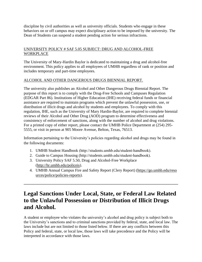discipline by civil authorities as well as university officials. Students who engage in these behaviors on or off campus may expect disciplinary action to be imposed by the university. The Dean of Students can suspend a student pending action for serious infractions.

#### UNIVERSITY POLICY # SAF 5.05 SUBJECT: DRUG AND ALCOHOL-FREE **WORKPLACE**

The University of Mary-Hardin Baylor is dedicated to maintaining a drug and alcohol-free environment. This policy applies to all employees of UMHB regardless of rank or position and includes temporary and part-time employees.

#### ALCOHOL AND OTHER DANGEROUS DRUGS BIENNIAL REPORT.

The university also publishes an Alcohol and Other Dangerous Drugs Biennial Report. The purpose of this report is to comply with the Drug-Free Schools and Campuses Regulation (EDGAR Part 86). Institutions of Higher Education (IHE) receiving federal funds or financial assistance are required to maintain programs which prevent the unlawful possession, use, or distribution of illicit drugs and alcohol by students and employees. To comply with this regulation, IHE, such as the University of Mary Hardin-Baylor, are required to complete biennial reviews of their Alcohol and Other Drug (AOD) program to determine effectiveness and consistency of enforcement of sanctions, along with the number of alcohol and drug violations. For a printed copy of either report, please contact the UMHB Police Department at (254) 295- 5555, or visit in person at 905 Moore Avenue, Belton, Texas, 76513.

Information pertaining to the University's policies regarding alcohol and drugs may be found in the following documents:

- 1. UMHB Student Handbook (http://students.umhb.edu/student‐handbook).
- 2. Guide to Campus Housing (http://students.umhb.edu/student‐handbook).
- 3. University Policy SAF 5.50, Drug and Alcohol-Free Workplace [\(http://hr.umhb.edu/policeis\)](http://hr.umhb.edu/policeis).
- 4. UMHB Annual Campus Fire and Safety Report (Clery Report) [\(https://go.umhb.edu/reso](https://go.umhb.edu/resources/police/policies-reports) [urces/police/policies-reports\)](https://go.umhb.edu/resources/police/policies-reports).

## **Legal Sanctions Under Local, State, or Federal Law Related to the Unlawful Possession or Distribution of Illicit Drugs and Alcohol.**

**\_\_\_\_\_\_\_\_\_\_\_\_\_\_\_\_\_\_\_\_\_\_\_\_\_\_\_\_\_\_\_\_\_\_\_\_\_\_\_\_\_\_\_\_\_\_\_\_\_\_\_\_\_\_\_\_\_\_\_\_\_\_\_\_\_\_\_\_\_\_\_\_\_\_\_\_\_\_**

A student or employee who violates the university's alcohol and drug policy is subject both to the University's sanctions and to criminal sanctions provided by federal, state, and local law. The laws include but are not limited to those listed below. If there are any conflicts between this Policy and federal, state, or local law, those laws will take precedence and the Policy will be interpreted in accordance with those laws.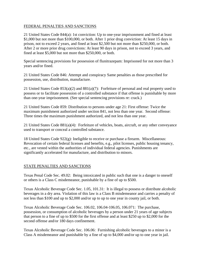#### FEDERAL PENALTIES AND SANCTIONS

21 United States Code 844(a): 1st conviction: Up to one-year imprisonment and fined at least \$1,000 but not more than \$100,000, or both. After 1 prior drug conviction: At least 15 days in prison, not to exceed 2 years, and fined at least \$2,500 but not more than \$250,000, or both. After 2 or more prior drug convictions: At least 90 days in prison, not to exceed 3 years, and fined at least \$5,000 but not more than \$250,000, or both.

Special sentencing provisions for possession of flunitrazepam: Imprisoned for not more than 3 years and/or fined.

21 United States Code 846: Attempt and conspiracy Same penalties as those prescribed for possession, use, distribution, manufacture.

21 United States Code 853(a)(2) and 881(a)(7): Forfeiture of personal and real property used to possess or to facilitate possession of a controlled substance if that offense is punishable by more than one-year imprisonment. (See special sentencing provisions re: crack.)

21 United States Code 859: Distribution to persons under age 21: First offense: Twice the maximum punishment authorized under section 841, not less than one year. Second offense: Three times the maximum punishment authorized, and not less than one year.

21 United States Code 881(a)(4): Forfeiture of vehicles, boats, aircraft, or any other conveyance used to transport or conceal a controlled substance.

18 United States Code 922(g): Ineligible to receive or purchase a firearm. Miscellaneous: Revocation of certain federal licenses and benefits, e.g., pilot licenses, public housing tenancy, etc., are vested within the authorities of individual federal agencies. Punishments are significantly accelerated for manufacture, and distribution to minors.

#### STATE PENALTIES AND SANCTIONS

Texas Penal Code Sec. 49.02: Being intoxicated in public such that one is a danger to oneself or others is a Class C misdemeanor, punishable by a fine of up to \$500.

Texas Alcoholic Beverage Code Sec. 1.05, 101.31: It is illegal to possess or distribute alcoholic beverages in a dry area. Violation of this law is a Class B misdemeanor and carries a penalty of not less than \$100 and up to \$2,000 and/or up to up to one year in county jail, or both.

Texas Alcoholic Beverage Code Sec. 106.02, 106.04-106.05, 106.071: The purchase, possession, or consumption of alcoholic beverages by a person under 21 years of age subjects that person to a fine of up to \$500 for the first offense and at least \$250 up to \$2,000 for the second offense and/or 180 days confinement.

Texas Alcoholic Beverage Code Sec. 106.06: Furnishing alcoholic beverages to a minor is a Class A misdemeanor and punishable by a fine of up to \$4,000 and/or up to one year in jail.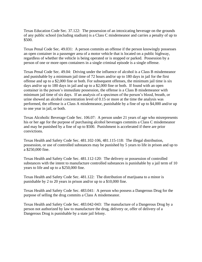Texas Education Code Sec. 37.122: The possession of an intoxicating beverage on the grounds of any public school (including stadium) is a Class C misdemeanor and carries a penalty of up to \$500.

Texas Penal Code Sec. 49.031: A person commits an offense if the person knowingly possesses an open container in a passenger area of a motor vehicle that is located on a public highway, regardless of whether the vehicle is being operated or is stopped or parked. Possession by a person of one or more open containers in a single criminal episode is a single offense.

Texas Penal Code Sec. 49.04: Driving under the influence of alcohol is a Class B misdemeanor and punishable by a minimum jail time of 72 hours and/or up to 180 days in jail for the first offense and up to a \$2,000 fine or both. For subsequent offenses, the minimum jail time is six days and/or up to 180 days in jail and up to a \$2,000 fine or both. If found with an open container in the person's immediate possession, the offense is a Class B misdemeanor with minimum jail time of six days. If an analysis of a specimen of the person's blood, breath, or urine showed an alcohol concentration level of 0.15 or more at the time the analysis was performed, the offense is a Class A misdemeanor, punishable by a fine of up to \$4,000 and/or up to one year in jail, or both.

Texas Alcoholic Beverage Code Sec. 106.07: A person under 21 years of age who misrepresents his or her age for the purpose of purchasing alcohol beverages commits a Class C misdemeanor and may be punished by a fine of up to \$500. Punishment is accelerated if there are prior convictions.

Texas Health and Safety Code Sec. 481.102-106, 481.115-118: The illegal distribution, possession, or use of controlled substances may be punished by 5 years to life in prison and up to a \$250,000 fine.

Texas Health and Safety Code Sec. 481.112-120: The delivery or possession of controlled substances with the intent to manufacture controlled substances is punishable by a jail term of 10 years to life and up to a \$250,000 fine.

Texas Health and Safety Code Sec. 481.122: The distribution of marijuana to a minor is punishable by 2 to 20 years in prison and/or up to a \$10,000 fine.

Texas Health and Safety Code Sec. 483.041: A person who possess a Dangerous Drug for the purpose of selling the drug commits a Class A misdemeanor.

Texas Health and Safety Code Sec. 483.042-043: The manufacture of a Dangerous Drug by a person not authorized by law to manufacture the drug, delivery or, offer of delivery of a Dangerous Drug is punishable by a state jail felony.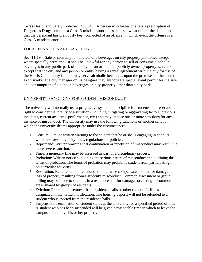Texas Health and Safety Code Sec. 483.045: A person who forges or alters a prescription of Dangerous Drugs commits a Class B misdemeanor unless it is shown at trial of the defendant that the defendant has previously been convicted of an offense, in which event the offense is a Class A misdemeanor.

#### LOCAL PENALTIES AND SANCTIONS

Sec. 11-19. - Sale or consumption of alcoholic beverages on city property prohibited except where specially permitted: It shall be unlawful for any person to sell or consume alcoholic beverages in any public park of the city, or on or in other publicly owned property, save and except that the city and any person or entity having a rental agreement with the city for use of the Harris Community Center, may serve alcoholic beverages upon the premises of the center exclusively. The city manager or his designee may authorize a special event permit for the sale and consumption of alcoholic beverages on city property other than a city park.

#### UNIVERSITY SANCTIONS FOR STUDENT MISCONDUCT

The university will normally use a progressive system of discipline for students, but reserves the right to consider the totality of a situation (including mitigating or aggravating factors, previous incidents, current academic performance, etc.) and may impose one or more sanctions for any instance of misconduct. The university may use the following sanctions or another sanction which the university deems appropriate under the circumstances:

- 1. Censure: Oral or written warning to the student that he or she is engaging in conduct which violates university rules, regulations, or policies.
- 2. Reprimand: Written warning that continuation or repetition of misconduct may result in a more severe sanction.
- 3. Fines: a monetary fine may be assessed as part of a disciplinary process.
- 4. Probation: Written notice explaining the serious nature of misconduct and outlining the terms of probation. The terms of probation may prohibit a student from participating in co-curricular activities.
- 5. Restitution: Requirement to reimburse or otherwise compensate another for damage or loss of property resulting from a student's misconduct. Common assessment or group billing may be made to students in a residence hall for damages occurring in common areas shared by groups of residents.
- 6. Eviction: Probation or removal from residence halls or other campus facilities as designated in the written notification. The housing deposit will not be refunded to a student who is evicted from the residence halls.
- 7. Suspension: Termination of student status at the university for a specified period of time. A student who has been suspended will be given a reasonable time in which to leave the campus and remove his or her property.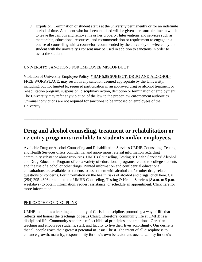8. Expulsion: Termination of student status at the university permanently or for an indefinite period of time. A student who has been expelled will be given a reasonable time in which to leave the campus and remove his or her property. Interventions and services such as mentorship, educational resources, and recommendation or requirement to engage in a course of counseling with a counselor recommended by the university or selected by the student with the university's consent may be used in addition to sanctions in order to assist the student.

#### UNIVERSITY SANCTIONS FOR EMPLOYEE MISCONDUCT

Violation of University Employee Policy # SAF 5.05 SUBJECT: DRUG AND ALCOHOL-FREE WORKPLACE, may result in any sanction deemed appropriate by the University, including, but not limited to, required participation in an approved drug or alcohol treatment or rehabilitation program, suspension, disciplinary action, demotion or termination of employment. The University may refer any violation of the law to the proper law enforcement authorities. Criminal convictions are not required for sanctions to be imposed on employees of the University.

### **Drug and alcohol counseling, treatment or rehabilitation or re‐entry programs available to students and/or employees.**

\_\_\_\_\_\_\_\_\_\_\_\_\_\_\_\_\_\_\_\_\_\_\_\_\_\_\_\_\_\_\_\_\_\_\_\_\_\_\_\_\_\_\_\_\_\_\_\_\_\_\_\_\_\_\_\_\_\_\_\_\_\_\_\_\_\_\_\_\_\_\_\_\_\_\_\_\_\_

Available Drug or Alcohol Counseling and Rehabilitation Services UMHB Counseling, Testing and Health Services offers confidential and anonymous referral information regarding community substance abuse resources. UMHB Counseling, Testing & Health Services' Alcohol and Drug Education Program offers a variety of educational programs related to college students and the use of alcohol or other drugs. Printed information and confidential educational consultations are available to students to assist them with alcohol and/or other drug-related questions or concerns. For information on the health risks of alcohol and drugs, click here. Call (254) 295-4696 or come to the UMHB Counseling, Testing & Health Services (8 a.m. to 5 p.m. weekdays) to obtain information, request assistance, or schedule an appointment. Click here for more information.

#### PHILOSOPHY OF DISCIPLINE

UMHB maintains a learning community of Christian discipline, promoting a way of life that reflects and honors the teachings of Jesus Christ. Therefore, community life at UMHB is a disciplined life. Community standards reflect biblical principles, and traditional Christian teaching and encourage students, staff, and faculty to live their lives accordingly. Our desire is that all people reach their greatest potential in Jesus Christ. The intent of all discipline is to enhance growth, maturity, responsibility for one's own behavior and accountability for one's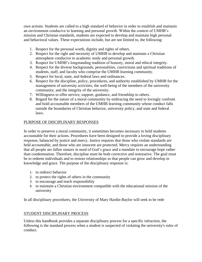own actions. Students are called to a high standard of behavior in order to establish and maintain an environment conducive to learning and personal growth. Within the context of UMHB's mission and Christian standards, students are expected to develop and maintain high personal and behavioral values. These expectations include, but are not limited to, the following:

- 1. Respect for the personal worth, dignity and rights of others.
- 2. Respect for the right and necessity of UMHB to develop and maintain a Christian atmosphere conducive to academic study and personal growth.
- 3. Respect for UMHB's longstanding tradition of honesty, moral and ethical integrity.
- 4. Respect for the diverse backgrounds, personalities, convictions and spiritual traditions of students, staff, and faculty who comprise the UMHB learning community.
- 5. Respect for local, state, and federal laws and ordinances.
- 6. Respect for the discipline, policy, procedures, and authority established by UMHB for the management of university activities, the well-being of the members of the university community, and the integrity of the university.
- 7. Willingness to offer service, support, guidance, and friendship to others.
- 8. Regard for the nature of a moral community by embracing the need to lovingly confront and hold accountable members of the UMHB learning community whose conduct falls outside the boundaries of Christian behavior, university policy, and state and federal laws.

#### PURPOSE OF DISCIPLINARY RESPONSES

In order to preserve a moral community, it sometimes becomes necessary to hold students accountable for their actions. Procedures have been designed to provide a loving disciplinary response, balanced by justice and mercy. Justice requires that those who violate standards are held accountable, and those who are innocent are protected. Mercy requires an understanding that all people are fallen sinners in need of God's grace and a mandate to encourage hope rather than condemnation. Therefore, discipline must be both corrective and restorative. The goal must be to redeem individuals and to restore relationships so that people can grow and develop in knowledge and grace. The purpose of the disciplinary response is:

- 1. to redirect behavior
- 2. to protect the rights of others in the community
- 3. to encourage and teach responsibility
- 4. to maintain a Christian environment compatible with the educational mission of the university

In all disciplinary procedures, the University of Mary Hardin-Baylor will seek to be rede

#### STUDENT DISCIPLINARY PROCESS

Unless this handbook provides a separate disciplinary process for a specific infraction, the following is the standard process when a student is suspected of violating the university's rules of conduct.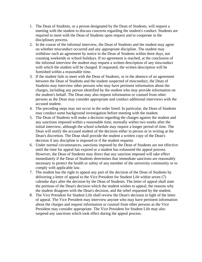- 1. The Dean of Students, or a person designated by the Dean of Students, will request a meeting with the student to discuss concerns regarding the student's conduct. Students are required to meet with the Dean of Students upon request and to cooperate in the disciplinary process.
- 2. In the course of the informal interview, the Dean of Students and the student may agree on whether misconduct occurred and any appropriate discipline. The student may withdraw such an agreement by notice to the Dean of Students within three days, not counting weekends or school holidays. If no agreement is reached, at the conclusion of the informal interview the student may request a written description of any misconduct with which the student will be charged. If requested, the written description will be furnished within a reasonable time.
- 3. If the student fails to meet with the Dean of Students, or in the absence of an agreement between the Dean of Students and the student suspected of misconduct, the Dean of Students may interview other persons who may have pertinent information about the charges, including any person identified by the student who may provide information on the student's behalf. The Dean may also request information or counsel from other persons as the Dean may consider appropriate and conduct additional interviews with the accused student.
- 4. The preceding steps may not occur in the order listed. In particular, the Dean of Students may conduct some background investigation before meeting with the student.
- 5. The Dean of Students will make a decision regarding the charges against the student and any sanctions imposed within a reasonable time, normally within two weeks after the initial interview, although the school schedule may require a longer period of time. The Dean will notify the accused student of the decision either in person or in writing at the Dean's discretion. The Dean shall provide the student a written copy of the Dean's decision if any discipline is imposed or if the student requests
- 6. Under normal circumstances, sanctions imposed by the Dean of Students are not effective until the time for appeal has expired or a student has exhausted the appeal process. However, the Dean of Students may direct that any sanction imposed will take effect immediately if the Dean of Students determines that immediate sanctions are reasonably necessary to protect the health or safety of any member of the university community or to comply with applicable law.
- 7. The student has the right to appeal any part of the decision of the Dean of Students by delivering a letter of appeal to the Vice President for Student Life within seven (7) calendar days after the decision by the Dean of Students. The letter of appeal shall state the portions of the Dean's decision which the student wishes to appeal, the reasons why the student disagrees with the Dean's decision, and the relief requested by the student.
- 8. The Vice President for Student Life shall review the Dean's decision in light of the letter of appeal. The Vice President may interview anyone who may have pertinent information about the charges and request information or counsel from other persons as the Vice President may consider appropriate. The Vice President for Student Life may also suspend any sanctions which took effect during the appeal process.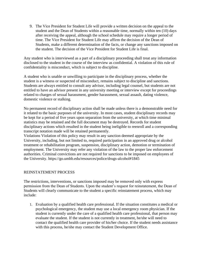9. The Vice President for Student Life will provide a written decision on the appeal to the student and the Dean of Students within a reasonable time, normally within ten (10) days after receiving the appeal, although the school schedule may require a longer period of time. The Vice President for Student Life may affirm the decision of the Dean of Students, make a different determination of the facts, or change any sanctions imposed on the student. The decision of the Vice President for Student Life is final.

Any student who is interviewed as a part of a disciplinary proceeding shall treat any information disclosed to the student in the course of the interview as confidential. A violation of this rule of confidentiality is misconduct, which is subject to discipline.

A student who is unable or unwilling to participate in the disciplinary process, whether the student is a witness or suspected of misconduct, remains subject to discipline and sanctions. Students are always entitled to consult any advisor, including legal counsel, but students are not entitled to have an advisor present in any university meeting or interview except for proceedings related to charges of sexual harassment, gender harassment, sexual assault, dating violence, domestic violence or stalking.

No permanent record of disciplinary action shall be made unless there is a demonstrable need for it related to the basic purposes of the university. In most cases, student disciplinary records may be kept for a period of five years upon separation from the university, at which time minimal statistics may be retained and the full document may be destroyed. Records for student disciplinary actions which resulted in the student being ineligible to reenroll and a corresponding transcript notation made will be retained permanently.

Violations Violation of this policy may result in any sanction deemed appropriate by the University, including, but not limited to, required participation in an approved drug or alcohol treatment or rehabilitation program, suspension, disciplinary action, demotion or termination of employment. The University may refer any violation of the law to the proper law enforcement authorities. Criminal convictions are not required for sanctions to be imposed on employees of the University. https://go.umhb.edu/resources/police/drugs-alcohol#1845

#### REINSTATEMENT PROCESS

The restrictions, interventions, or sanctions imposed may be removed only with express permission from the Dean of Students. Upon the student's request for reinstatement, the Dean of Students will clearly communicate to the student a specific reinstatement process, which may include:

1. Evaluation by a qualified health care professional. If the situation constitutes a medical or psychological emergency, the student may use a local emergency room physician. If the student is currently under the care of a qualified health care professional, that person may evaluate the student. If the student is not currently in treatment, he/she will need to contact the qualified health care provider of his/her choice. If the student needs assistance with this process, he/she may contact the Student Development Office.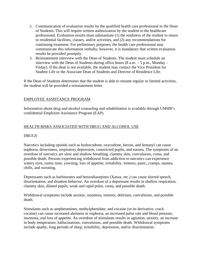- 2. Communication of evaluation results by the qualified health care professional to the Dean of Students. This will require written authorization by the student to the healthcare professional. Evaluation results must substantiate (1) the readiness of the student to return to residential facilities, classes, and/or activities, and (2) any recommendations for continuing treatment. For preliminary purposes, the health care professional may communicate this information verbally; however, it is mandatory that written evaluation results be provided promptly.
- 3. Reinstatement interview with the Dean of Students. The student must schedule an interview with the Dean of Students during office hours  $(8 \text{ a.m.} - 5 \text{ p.m.}, \text{Monday} - \text{m}$ Friday). If the dean is not available, the student may contact the Vice President for Student Life or the Associate Dean of Students and Director of Residence Life.

If the Dean of Students determines that the student is able to resume regular or limited activities, the student will be provided a reinstatement letter.

#### EMPLOYEE ASSISTANCE PROGRAM

Information about drug and alcohol counseling and rehabilitation is available through UMHB's confidential Employee Assistance Program (EAP).

#### HEALTH RISKS ASSOCIATED WITH DRUG AND ALCOHOL USE

#### DRUGS

Narcotics including opioids such as hydrocodone, oxycodone, heroin, and fentanyl can cause euphoria, drowsiness, respiratory depression, constricted pupils, and nausea. The symptoms of an overdose of narcotics are slow and shallow breathing, clammy skin, convulsions, coma, and possible death. Persons experiencing withdrawal from addiction to narcotics can experience watery eyes, runny nose, yawning, loss of appetite, irritability, tremors, panic, cramps, nausea, chills, and sweating.

Depressants such as barbiturates and benzodiazepines (Xanax, etc.) can cause slurred speech, disorientation, and drunken behavior. An overdose of a depressant results in shallow respiration, clammy skin, dilated pupils, weak and rapid pulse, coma, and possible death.

Withdrawal symptoms include anxiety, insomnia, tremors, delirium, convulsions, and possible death.

Stimulants such as amphetamines, methylphenidate, and cocaine (or its derivative, crack cocaine) can cause increased alertness or euphoria, an increased pulse rate and blood pressure, insomnia, and loss of appetite. An overdose of stimulants results in agitation, anxiety, an increase in body temperature, hallucinations, convulsions, and possible death. Withdrawal symptoms include apathy, long periods of sleep, irritability, depression, and/or disorientation.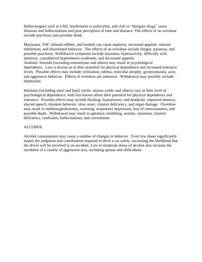Hallucinogens such as LSD, mushrooms or psilocybin, and club or "designer drugs" cause illusions and hallucinations and poor perception of time and distance. The effects of an overdose include psychosis and possible death.

Marijuana, THC infused edibles, and hashish can cause euphoria, increased appetite, relaxed inhibitions, and disoriented behavior. The effects of an overdose include fatigue, paranoia, and possible psychosis. Withdrawal symptoms include insomnia, hyperactivity, difficulty with attention, cannabinoid hyperemesis syndrome, and decreased appetite. Anabolic Steroids (including testosterone and others) may result in psychological dependence. Less is known as to their potential for physical dependence and increased tolerance levels. Possible effects may include virilization, edema, testicular atrophy, gymecomastia, acne, and aggressive behavior. Effects of overdose are unknown. Withdrawal may possibly include depression.

Inhalants (including amyl and butyl nitrite, nitrous oxide, and others) vary in their level of psychological dependence, with less known about their potential for physical dependence and tolerance. Possible effects may include flushing, hypotension, and headache, impaired memory, slurred speech, drunken behavior, slow onset, vitamin deficiency, and organ damage. Overdose may result in methemoglobinemia, vomiting, respiratory depression, loss of consciousness, and possible death. Withdrawal may result in agitation, trembling, anxiety, insomnia, vitamin deficiency, confusion, hallucinations, and convulsions

#### ALCOHOL

Alcohol consumption may cause a number of changes in behavior. Even low doses significantly impair the judgment and coordination required to drive a car safely, increasing the likelihood that the driver will be involved in an accident. Low to moderate doses of alcohol also increase the incidence of a variety of aggressive acts, including spouse and child abuse.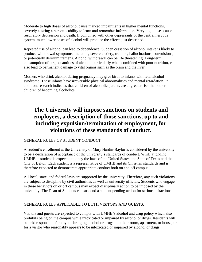Moderate to high doses of alcohol cause marked impairments in higher mental functions, severely altering a person's ability to learn and remember information. Very high doses cause respiratory depression and death. If combined with other depressants of the central nervous system, much lower doses of alcohol will produce the effects just described.

Repeated use of alcohol can lead to dependence. Sudden cessation of alcohol intake is likely to produce withdrawal symptoms, including severe anxiety, tremors, hallucinations, convulsions, or potentially delirium tremens. Alcohol withdrawal can be life threatening. Long-term consumption of large quantities of alcohol, particularly when combined with poor nutrition, can also lead to permanent damage to vital organs such as the brain and the liver.

Mothers who drink alcohol during pregnancy may give birth to infants with fetal alcohol syndrome. These infants have irreversible physical abnormalities and mental retardation. In addition, research indicates that children of alcoholic parents are at greater risk than other children of becoming alcoholics.

\_\_\_\_\_\_\_\_\_\_\_\_\_\_\_\_\_\_\_\_\_\_\_\_\_\_\_\_\_\_\_\_\_\_\_\_\_\_\_\_\_\_\_\_\_\_\_\_\_\_\_\_\_\_\_\_\_\_\_\_\_\_\_\_\_\_\_\_\_\_\_\_\_\_\_\_

## **The University will impose sanctions on students and employees, a description of those sanctions, up to and including expulsion/termination of employment, for violations of these standards of conduct.**

#### GENERAL RULES OF STUDENT CONDUCT

A student's enrollment at the University of Mary Hardin-Baylor is considered by the university to be a declaration of acceptance of the university's standards of conduct. While attending UMHB, a student is expected to obey the laws of the United States, the State of Texas and the City of Belton. Each student is a representative of UMHB and its Christian standards and is therefore expected to demonstrate appropriate conduct both on and off campus.

All local, state, and federal laws are supported by the university. Therefore, any such violations are subject to discipline by civil authorities as well as university officials. Students who engage in these behaviors on or off campus may expect disciplinary action to be imposed by the university. The Dean of Students can suspend a student pending action for serious infractions.

#### GENERAL RULES APPLICABLE TO BOTH VISITORS AND GUESTS:

Visitors and guests are expected to comply with UMHB's alcohol and drug policy which also prohibits being on the campus while intoxicated or impaired by alcohol or drugs. Residents will be held responsible for anyone bringing alcohol or drugs into their room, apartment, or house, or for a visitor who reasonably appears to be intoxicated or impaired by alcohol or drugs.